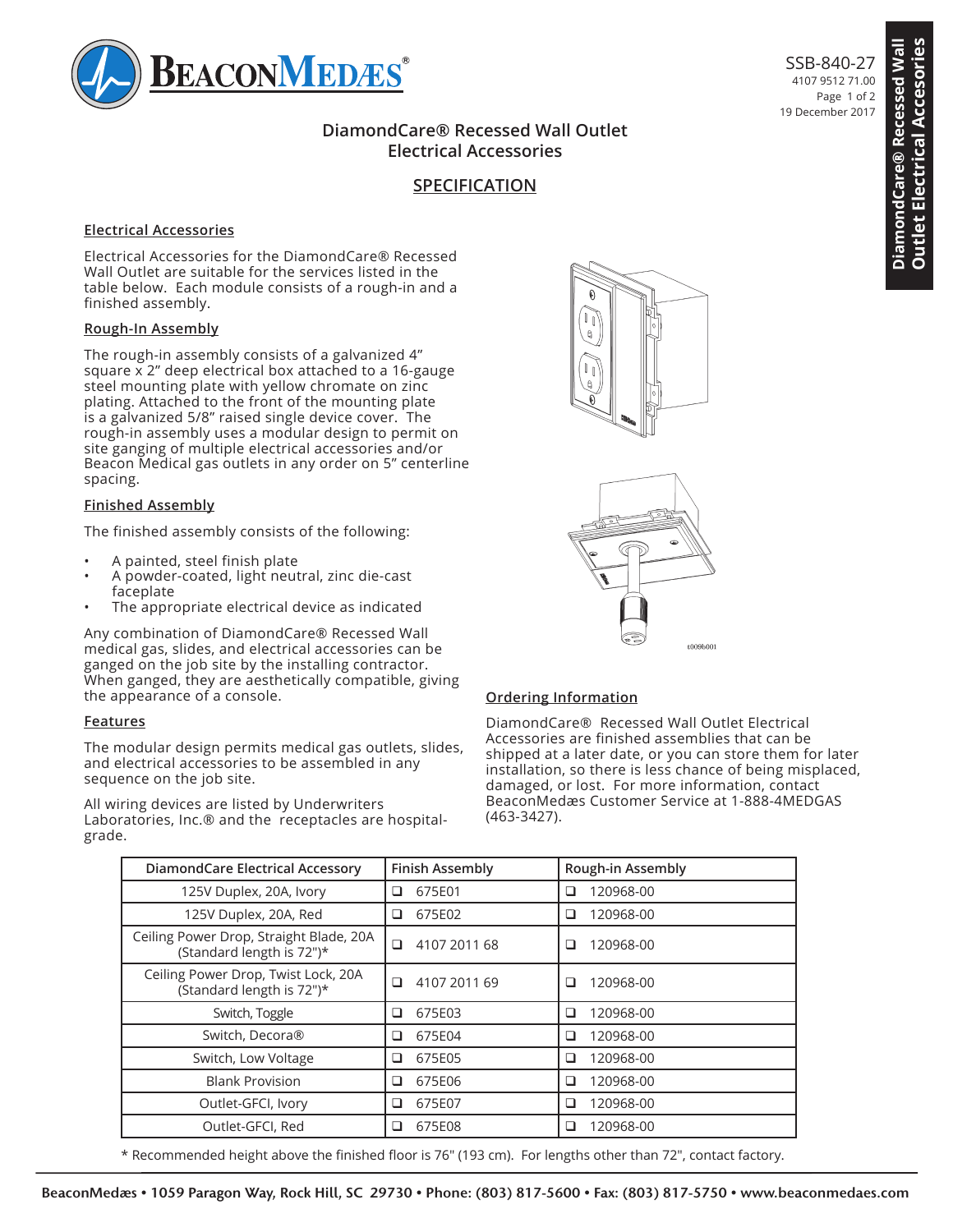

# **DiamondCare® Recessed Wall Outlet Electrical Accessories**

# **SPECIFICATION**

### **Electrical Accessories**

### **Rough-In Assembly**

### **Finished Assembly**

- A painted, steel finish plate
- A powder-coated, light neutral, zinc die-cast faceplate
- The appropriate electrical device as indicated

#### **Features**





### **Ordering Information**

|                                                                                                                                                                                                |                                                                                                                                                                                                                                                                                                                                                                                                                                                                |                                                       | DiamondCare® Recessed Wall Outlet                                                                                                                                                                                                                                                             | 19 December 2017 |
|------------------------------------------------------------------------------------------------------------------------------------------------------------------------------------------------|----------------------------------------------------------------------------------------------------------------------------------------------------------------------------------------------------------------------------------------------------------------------------------------------------------------------------------------------------------------------------------------------------------------------------------------------------------------|-------------------------------------------------------|-----------------------------------------------------------------------------------------------------------------------------------------------------------------------------------------------------------------------------------------------------------------------------------------------|------------------|
|                                                                                                                                                                                                |                                                                                                                                                                                                                                                                                                                                                                                                                                                                | <b>Electrical Accessories</b><br><b>SPECIFICATION</b> |                                                                                                                                                                                                                                                                                               |                  |
|                                                                                                                                                                                                |                                                                                                                                                                                                                                                                                                                                                                                                                                                                |                                                       |                                                                                                                                                                                                                                                                                               |                  |
|                                                                                                                                                                                                | <b>Electrical Accessories</b>                                                                                                                                                                                                                                                                                                                                                                                                                                  |                                                       |                                                                                                                                                                                                                                                                                               |                  |
| Electrical Accessories for the DiamondCare® Recessed<br>Wall Outlet are suitable for the services listed in the<br>table below. Each module consists of a rough-in and a<br>finished assembly. |                                                                                                                                                                                                                                                                                                                                                                                                                                                                |                                                       |                                                                                                                                                                                                                                                                                               |                  |
| Rough-In Assembly                                                                                                                                                                              |                                                                                                                                                                                                                                                                                                                                                                                                                                                                |                                                       | $\mathbb{I}$<br>$\mathbb Q$                                                                                                                                                                                                                                                                   |                  |
| spacing.                                                                                                                                                                                       | The rough-in assembly consists of a galvanized 4"<br>square x 2" deep electrical box attached to a 16-gauge<br>steel mounting plate with yellow chromate on zinc<br>plating. Attached to the front of the mounting plate<br>is a galvanized 5/8" raised single device cover. The<br>rough-in assembly uses a modular design to permit on<br>site ganging of multiple electrical accessories and/or<br>Beacon Medical gas outlets in any order on 5" centerline |                                                       | $\mathbb{I}_{\parallel}$<br>$\theta$                                                                                                                                                                                                                                                          |                  |
| <b>Finished Assembly</b>                                                                                                                                                                       |                                                                                                                                                                                                                                                                                                                                                                                                                                                                |                                                       |                                                                                                                                                                                                                                                                                               |                  |
|                                                                                                                                                                                                | The finished assembly consists of the following:                                                                                                                                                                                                                                                                                                                                                                                                               |                                                       |                                                                                                                                                                                                                                                                                               |                  |
| A painted, steel finish plate<br>A powder-coated, light neutral, zinc die-cast<br>faceplate<br>The appropriate electrical device as indicated                                                  |                                                                                                                                                                                                                                                                                                                                                                                                                                                                |                                                       |                                                                                                                                                                                                                                                                                               |                  |
|                                                                                                                                                                                                | Any combination of DiamondCare® Recessed Wall<br>medical gas, slides, and electrical accessories can be<br>ganged on the job site by the installing contractor.<br>When ganged, they are aesthetically compatible, giving<br>the appearance of a console.                                                                                                                                                                                                      |                                                       | t009b001<br><b>Ordering Information</b>                                                                                                                                                                                                                                                       |                  |
| <b>Features</b>                                                                                                                                                                                |                                                                                                                                                                                                                                                                                                                                                                                                                                                                |                                                       | DiamondCare® Recessed Wall Outlet Electrical                                                                                                                                                                                                                                                  |                  |
| grade.                                                                                                                                                                                         | The modular design permits medical gas outlets, slides,<br>and electrical accessories to be assembled in any<br>sequence on the job site.<br>All wiring devices are listed by Underwriters<br>Laboratories, Inc.® and the receptacles are hospital-                                                                                                                                                                                                            |                                                       | Accessories are finished assemblies that can be<br>shipped at a later date, or you can store them for later<br>installation, so there is less chance of being misplaced,<br>damaged, or lost. For more information, contact<br>BeaconMedæs Customer Service at 1-888-4MEDGAS<br>$(463-3427).$ |                  |
|                                                                                                                                                                                                | <b>DiamondCare Electrical Accessory</b>                                                                                                                                                                                                                                                                                                                                                                                                                        | <b>Finish Assembly</b>                                | Rough-in Assembly                                                                                                                                                                                                                                                                             |                  |
|                                                                                                                                                                                                | 125V Duplex, 20A, Ivory                                                                                                                                                                                                                                                                                                                                                                                                                                        | 675E01<br>□                                           | 120968-00<br>❏                                                                                                                                                                                                                                                                                |                  |
|                                                                                                                                                                                                | 125V Duplex, 20A, Red                                                                                                                                                                                                                                                                                                                                                                                                                                          | $\Box$<br>675E02                                      | 120968-00<br>□                                                                                                                                                                                                                                                                                |                  |
|                                                                                                                                                                                                | Ceiling Power Drop, Straight Blade, 20A<br>(Standard length is 72")*                                                                                                                                                                                                                                                                                                                                                                                           | $\Box$<br>4107 2011 68                                | 120968-00<br>□                                                                                                                                                                                                                                                                                |                  |
|                                                                                                                                                                                                | Ceiling Power Drop, Twist Lock, 20A<br>(Standard length is 72")*                                                                                                                                                                                                                                                                                                                                                                                               | 4107 2011 69<br>$\Box$                                | 120968-00<br>o.                                                                                                                                                                                                                                                                               |                  |
|                                                                                                                                                                                                | Switch, Toggle                                                                                                                                                                                                                                                                                                                                                                                                                                                 | 675E03<br>□                                           | 120968-00<br>❏                                                                                                                                                                                                                                                                                |                  |
|                                                                                                                                                                                                | Switch, Decora®                                                                                                                                                                                                                                                                                                                                                                                                                                                | 675E04<br>❏                                           | 120968-00<br>❏                                                                                                                                                                                                                                                                                |                  |
|                                                                                                                                                                                                | Switch, Low Voltage                                                                                                                                                                                                                                                                                                                                                                                                                                            | 675E05<br>□<br>675E06<br>о                            | 120968-00<br>□                                                                                                                                                                                                                                                                                |                  |
|                                                                                                                                                                                                |                                                                                                                                                                                                                                                                                                                                                                                                                                                                |                                                       | 120968-00<br>❏                                                                                                                                                                                                                                                                                |                  |
|                                                                                                                                                                                                | <b>Blank Provision</b><br>Outlet-GFCI, Ivory                                                                                                                                                                                                                                                                                                                                                                                                                   | 675E07<br>$\Box$                                      | 120968-00<br>□                                                                                                                                                                                                                                                                                |                  |